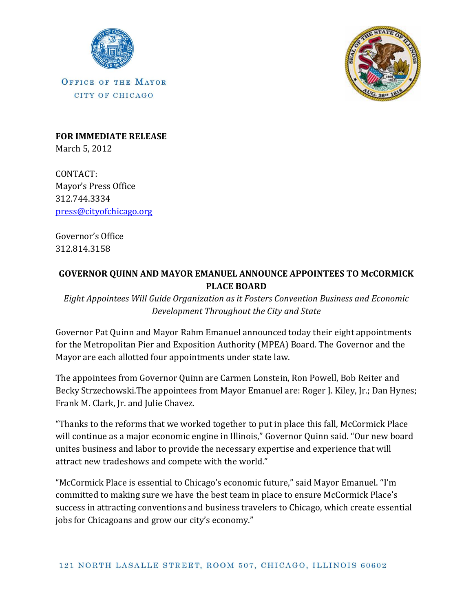

OFFICE OF THE MAYOR CITY OF CHICAGO



**FOR IMMEDIATE RELEASE** March 5, 2012

CONTACT: Mayor's Press Office 312.744.3334 [press@cityofchicago.org](mailto:press@cityofchicago.org)

Governor's Office 312.814.3158

## **GOVERNOR QUINN AND MAYOR EMANUEL ANNOUNCE APPOINTEES TO McCORMICK PLACE BOARD**

*Eight Appointees Will Guide Organization as it Fosters Convention Business and Economic Development Throughout the City and State*

Governor Pat Quinn and Mayor Rahm Emanuel announced today their eight appointments for the Metropolitan Pier and Exposition Authority (MPEA) Board. The Governor and the Mayor are each allotted four appointments under state law.

The appointees from Governor Quinn are Carmen Lonstein, Ron Powell, Bob Reiter and Becky Strzechowski.The appointees from Mayor Emanuel are: Roger J. Kiley, Jr.; Dan Hynes; Frank M. Clark, Jr. and Julie Chavez.

"Thanks to the reforms that we worked together to put in place this fall, McCormick Place will continue as a major economic engine in Illinois," Governor Quinn said. "Our new board unites business and labor to provide the necessary expertise and experience that will attract new tradeshows and compete with the world."

"McCormick Place is essential to Chicago's economic future," said Mayor Emanuel. "I'm committed to making sure we have the best team in place to ensure McCormick Place's success in attracting conventions and business travelers to Chicago, which create essential jobs for Chicagoans and grow our city's economy."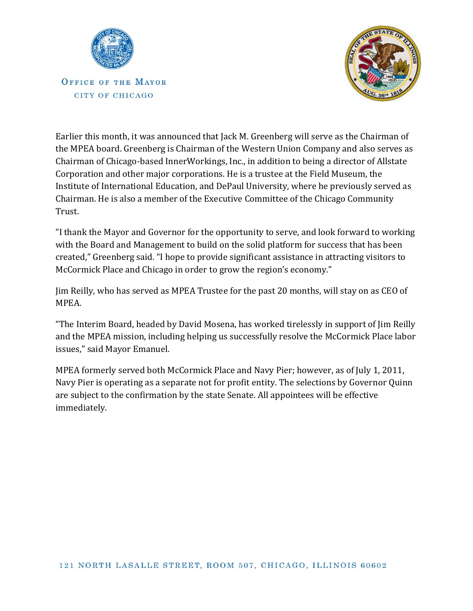

OFFICE OF THE MAYOR CITY OF CHICAGO



Earlier this month, it was announced that Jack M. Greenberg will serve as the Chairman of the MPEA board. Greenberg is Chairman of the Western Union Company and also serves as Chairman of Chicago-based InnerWorkings, Inc., in addition to being a director of Allstate Corporation and other major corporations. He is a trustee at the Field Museum, the Institute of International Education, and DePaul University, where he previously served as Chairman. He is also a member of the Executive Committee of the Chicago Community Trust.

"I thank the Mayor and Governor for the opportunity to serve, and look forward to working with the Board and Management to build on the solid platform for success that has been created," Greenberg said. "I hope to provide significant assistance in attracting visitors to McCormick Place and Chicago in order to grow the region's economy."

Jim Reilly, who has served as MPEA Trustee for the past 20 months, will stay on as CEO of MPEA.

"The Interim Board, headed by David Mosena, has worked tirelessly in support of Jim Reilly and the MPEA mission, including helping us successfully resolve the McCormick Place labor issues," said Mayor Emanuel.

MPEA formerly served both McCormick Place and Navy Pier; however, as of July 1, 2011, Navy Pier is operating as a separate not for profit entity. The selections by Governor Quinn are subject to the confirmation by the state Senate. All appointees will be effective immediately.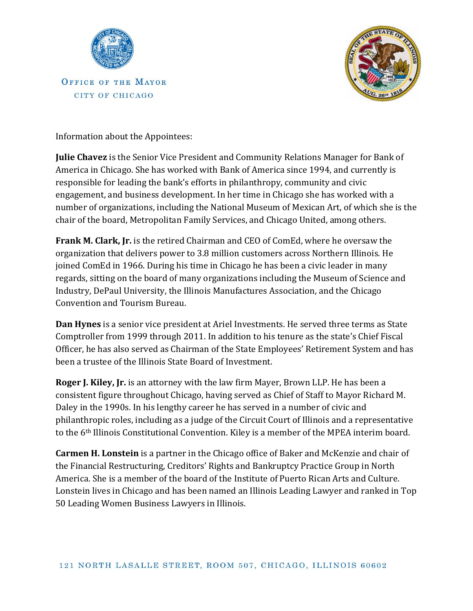

OFFICE OF THE MAYOR CITY OF CHICAGO



Information about the Appointees:

**Julie Chavez** is the Senior Vice President and Community Relations Manager for Bank of America in Chicago. She has worked with Bank of America since 1994, and currently is responsible for leading the bank's efforts in philanthropy, community and civic engagement, and business development. In her time in Chicago she has worked with a number of organizations, including the National Museum of Mexican Art, of which she is the chair of the board, Metropolitan Family Services, and Chicago United, among others.

**Frank M. Clark, Jr.** is the retired Chairman and CEO of ComEd, where he oversaw the organization that delivers power to 3.8 million customers across Northern Illinois. He joined ComEd in 1966. During his time in Chicago he has been a civic leader in many regards, sitting on the board of many organizations including the Museum of Science and Industry, DePaul University, the Illinois Manufactures Association, and the Chicago Convention and Tourism Bureau.

**Dan Hynes** is a senior vice president at Ariel Investments. He served three terms as State Comptroller from 1999 through 2011. In addition to his tenure as the state's Chief Fiscal Officer, he has also served as Chairman of the State Employees' Retirement System and has been a trustee of the Illinois State Board of Investment.

**Roger J. Kiley, Jr.** is an attorney with the law firm Mayer, Brown LLP. He has been a consistent figure throughout Chicago, having served as Chief of Staff to Mayor Richard M. Daley in the 1990s. In his lengthy career he has served in a number of civic and philanthropic roles, including as a judge of the Circuit Court of Illinois and a representative to the 6th Illinois Constitutional Convention. Kiley is a member of the MPEA interim board.

**Carmen H. Lonstein** is a partner in the Chicago office of Baker and McKenzie and chair of the Financial Restructuring, Creditors' Rights and Bankruptcy Practice Group in North America. She is a member of the board of the Institute of Puerto Rican Arts and Culture. Lonstein lives in Chicago and has been named an Illinois Leading Lawyer and ranked in Top 50 Leading Women Business Lawyers in Illinois.